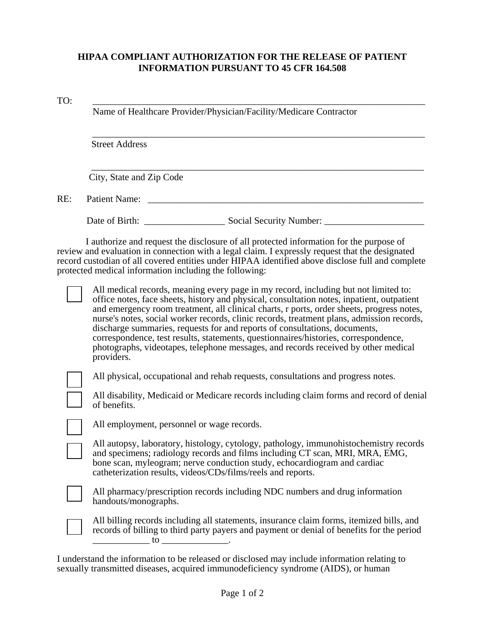## **HIPAA COMPLIANT AUTHORIZATION FOR THE RELEASE OF PATIENT INFORMATION PURSUANT TO 45 CFR 164.508**

## TO: \_\_\_\_\_\_\_\_\_\_\_\_\_\_\_\_\_\_\_\_\_\_\_\_\_\_\_\_\_\_\_\_\_\_\_\_\_\_\_\_\_\_\_\_\_\_\_\_\_\_\_\_\_\_\_\_\_\_\_\_\_\_\_\_\_\_\_\_\_\_

Name of Healthcare Provider/Physician/Facility/Medicare Contractor

Street Address

City, State and Zip Code

RE: Patient Name: \_\_\_\_\_\_\_\_\_\_\_\_\_\_\_\_\_\_\_\_\_\_\_\_\_\_\_\_\_\_\_\_\_\_\_\_\_\_\_\_\_\_\_\_\_\_\_\_\_\_\_\_\_\_\_\_\_\_

Date of Birth: \_\_\_\_\_\_\_\_\_\_\_\_\_\_\_\_\_ Social Security Number: \_\_\_\_\_\_\_\_\_\_\_\_\_\_\_\_\_\_\_\_\_

\_\_\_\_\_\_\_\_\_\_\_\_\_\_\_\_\_\_\_\_\_\_\_\_\_\_\_\_\_\_\_\_\_\_\_\_\_\_\_\_\_\_\_\_\_\_\_\_\_\_\_\_\_\_\_\_\_\_\_\_\_\_\_\_\_\_\_\_\_\_

\_\_\_\_\_\_\_\_\_\_\_\_\_\_\_\_\_\_\_\_\_\_\_\_\_\_\_\_\_\_\_\_\_\_\_\_\_\_\_\_\_\_\_\_\_\_\_\_\_\_\_\_\_\_\_\_\_\_\_\_\_\_\_\_\_\_\_\_\_\_

I authorize and request the disclosure of all protected information for the purpose of review and evaluation in connection with a legal claim. I expressly request that the designated record custodian of all covered entities under HIPAA identified above disclose full and complete protected medical information including the following:

All medical records, meaning every page in my record, including but not limited to: office notes, face sheets, history and physical, consultation notes, inpatient, outpatient and emergency room treatment, all clinical charts, r ports, order sheets, progress notes, nurse's notes, social worker records, clinic records, treatment plans, admission records, discharge summaries, requests for and reports of consultations, documents, correspondence, test results, statements, questionnaires/histories, correspondence, photographs, videotapes, telephone messages, and records received by other medical providers.

All physical, occupational and rehab requests, consultations and progress notes.

All disability, Medicaid or Medicare records including claim forms and record of denial of benefits.

All employment, personnel or wage records.

All autopsy, laboratory, histology, cytology, pathology, immunohistochemistry records and specimens; radiology records and films including CT scan, MRI, MRA, EMG, bone scan, myleogram; nerve conduction study, echocardiogram and cardiac catheterization results, videos/CDs/films/reels and reports.



All pharmacy/prescription records including NDC numbers and drug information handouts/monographs.

All billing records including all statements, insurance claim forms, itemized bills, and records of billing to third party payers and payment or denial of benefits for the period  $\overline{\phantom{a}}$  to  $\overline{\phantom{a}}$ 

I understand the information to be released or disclosed may include information relating to sexually transmitted diseases, acquired immunodeficiency syndrome (AIDS), or human